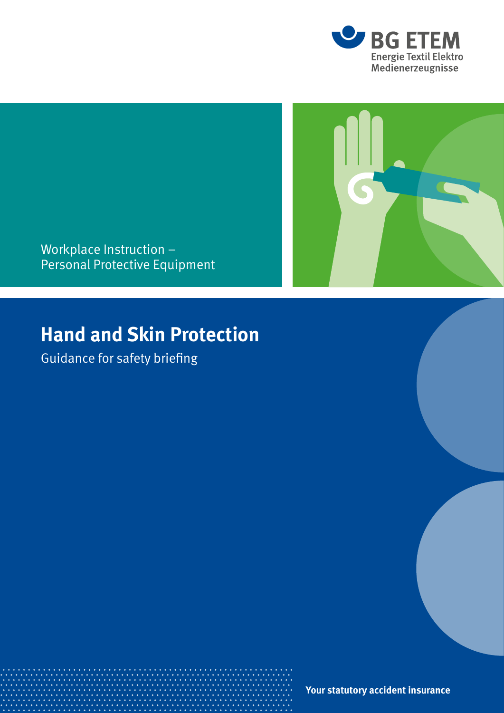



Workplace Instruction – Personal Protective Equipment

## **Hand and Skin Protection**

Guidance for safety briefing

**Your statutory accident insurance**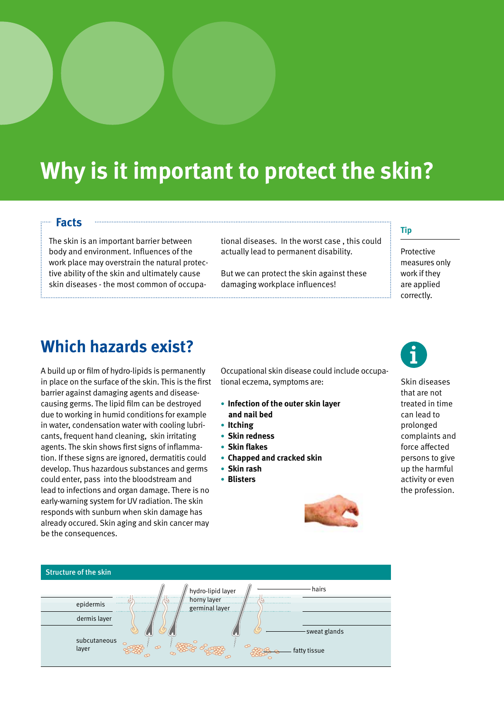# **Why is it important to protect the skin?**

### **Facts**

The skin is an important barrier between body and environment. Influences of the work place may overstrain the natural protective ability of the skin and ultimately cause skin diseases - the most common of occupational diseases. In the worst case , this could actually lead to permanent disability.

But we can protect the skin against these damaging workplace influences!

#### **Tip**

Protective measures only work if they are applied correctly.

### **Which hazards exist?**

A build up or film of hydro-lipids is permanently in place on the surface of the skin. This is the first barrier against damaging agents and diseasecausing germs. The lipid film can be destroyed due to working in humid conditions for example in water, condensation water with cooling lubricants, frequent hand cleaning, skin irritating agents. The skin shows first signs of inflammation. If these signs are ignored, dermatitis could develop. Thus hazardous substances and germs could enter, pass into the bloodstream and lead to infections and organ damage. There is no early-warning system for UV radiation. The skin responds with sunburn when skin damage has already occured. Skin aging and skin cancer may be the consequences.

Occupational skin disease could include occupational eczema, symptoms are:

- **Infection of the outer skin layer and nail bed**
- **Itching**
- **Skin redness**
- **Skin flakes**
- **Chapped and cracked skin**
- **Skin rash**
- **Blisters**





Skin diseases that are not treated in time can lead to prolonged complaints and force affected persons to give up the harmful activity or even the profession.

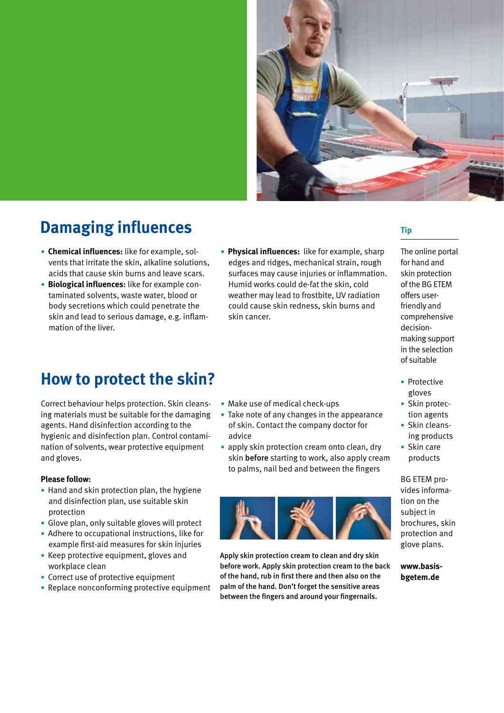

### **Damaging influences**

- **Chemical influences:** like for example, solvents that irritate the skin, alkaline solutions, acids that cause skin burns and leave scars.
- **Biological influences:** like for example contaminated solvents, waste water, blood or body secretions which could penetrate the skin and lead to serious damage, e.g. inflammation of the liver.

### **How to protect the skin?**

Correct behaviour helps protection. Skin cleansing materials must be suitable for the damaging agents. Hand disinfection according to the hygienic and disinfection plan. Control contamination of solvents, wear protective equipment and gloves.

#### **Please follow:**

- Hand and skin protection plan, the hygiene and disinfection plan, use suitable skin protection
- Glove plan, only suitable gloves will protect
- Adhere to occupational instructions, like for example first-aid measures for skin injuries
- Keep protective equipment, gloves and workplace clean
- Correct use of protective equipment
- Replace nonconforming protective equipment

• **Physical influences:** like for example, sharp edges and ridges, mechanical strain, rough surfaces may cause injuries or inflammation. Humid works could de-fat the skin, cold weather may lead to frostbite, UV radiation could cause skin redness, skin burns and skin cancer.

### **Tip**

The online portal for hand and skin protection of the BG ETEM offers userfriendly and comprehensive decisionmaking support in the selection of suitable

- Protective gloves
- Skin protection agents
- Skin cleansing products
- Skin care products

BG ETEM provides information on the subject in brochures, skin protection and glove plans.

#### **www.basisbgetem.de**



- Take note of any changes in the appearance of skin. Contact the company doctor for advice
- apply skin protection cream onto clean, dry skin before starting to work, also apply cream to palms, nail bed and between the fingers



Apply skin protection cream to clean and dry skin before work. Apply skin protection cream to the back of the hand, rub in first there and then also on the palm of the hand. Don't forget the sensitive areas between the fingers and around your fingernails.